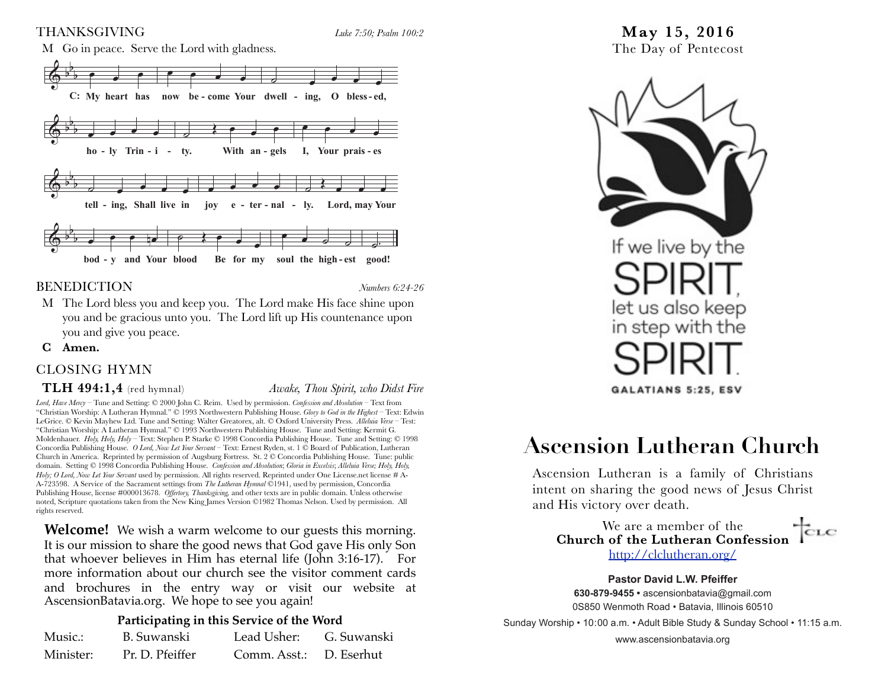### **THANKSGIVING**

Luke 7:50; Psalm 100:2



### **BENEDICTION**

 $Numbers 6.24-26$ 

- M The Lord bless you and keep you. The Lord make His face shine upon you and be gracious unto you. The Lord lift up His countenance upon you and give you peace.
- $\mathbf C$ Amen.

### **CLOSING HYMN**

### $TLH$  494:1,4 (red hymnal)

#### Awake, Thou Spirit, who Didst Fire

Lord, Have Mercy - Tune and Setting: © 2000 John C. Reim. Used by permission. Confession and Absolution - Text from "Christian Worship: A Lutheran Hymnal." © 1993 Northwestern Publishing House. Glory to God in the Highest - Text: Edwin LeGrice. © Kevin Mayhew Ltd. Tune and Setting: Walter Greatorex, alt. © Oxford University Press. Alleluia Verse - Test: "Christian Worship: A Lutheran Hymnal." © 1993 Northwestern Publishing House. Tune and Setting: Kermit G. Moldenhauer. Holy, Holy, Holy – Text: Stephen P. Starke © 1998 Concordia Publishing House. Tune and Setting: © 1998 Concordia Publishing House. O Lord, Now Let Your Servant - Text: Ernest Ryden, st. 1 © Board of Publication, Lutheran Church in America. Reprinted by permission of Augsburg Fortress. St. 2 © Concordia Publishing House. Tune: public domain. Setting © 1998 Concordia Publishing House. Confession and Absolution; Gloria in Excelsis; Alleluia Verse; Holy, Holy, Holy; O Lord, Now Let Your Servant used by permission. All rights reserved. Reprinted under One License.net license # A-A-723598. A Service of the Sacrament settings from The Lutheran Hymnal ©1941, used by permission, Concordia Publishing House, license #000013678. Offertory, Thanksgiving, and other texts are in public domain. Unless otherwise noted, Scripture quotations taken from the New King James Version ©1982 Thomas Nelson. Used by permission. All rights reserved.

**Welcome!** We wish a warm welcome to our guests this morning. It is our mission to share the good news that God gave His only Son that whoever believes in Him has eternal life (John 3:16-17). For more information about our church see the visitor comment cards and brochures in the entry way or visit our website at AscensionBatavia.org. We hope to see you again!

### Participating in this Service of the Word

| Music.:   | B. Suwanski     | Lead Usher:             | G. Suwanski |
|-----------|-----------------|-------------------------|-------------|
| Minister: | Pr. D. Pfeiffer | Comm. Asst.: D. Eserhut |             |

May 15, 2016 The Day of Pentecost



# **Ascension Lutheran Church**

Ascension Lutheran is a family of Christians intent on sharing the good news of Jesus Christ and His victory over death.

We are a member of the **Church of the Lutheran Confession** http://clclutheran.org/

 $_{\rm CLC}$ 

**Pastor David L.W. Pfeiffer** 630-879-9455 • ascensionbatavia@gmail.com 0S850 Wenmoth Road · Batavia, Illinois 60510

Sunday Worship • 10:00 a.m. • Adult Bible Study & Sunday School • 11:15 a.m.

www.ascensionbatavia.org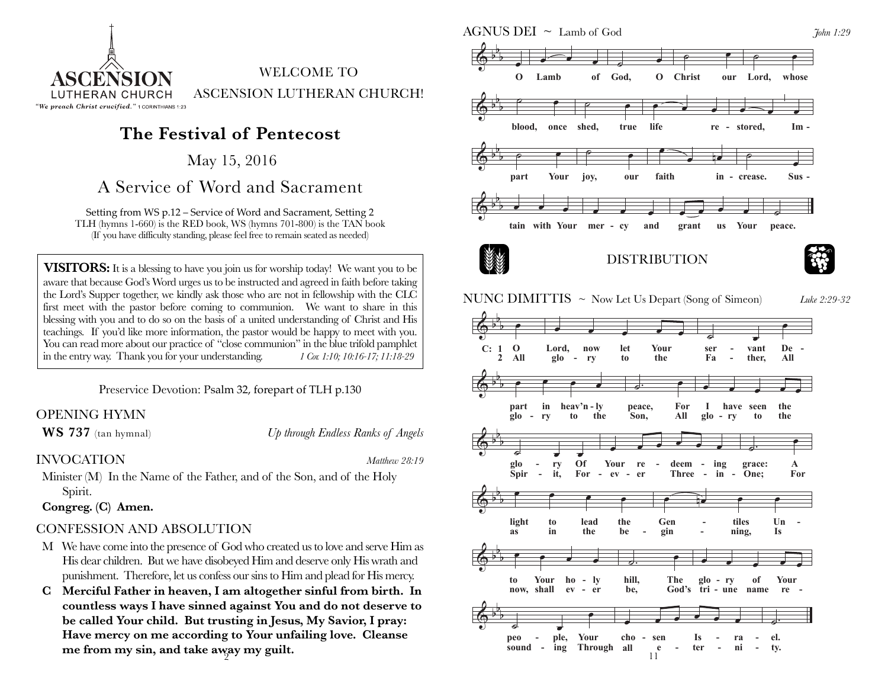

### **The Festival of Pentecost**

May 15, 2016

## A Service of Word and Sacrament

Setting from WS p.12 – Service of Word and Sacrament, Setting 2 TLH (hymns 1-660) is the RED book, WS (hymns 701-800) is the TAN book (If you have difficulty standing, please feel free to remain seated as needed)

**VISITORS:** It is a blessing to have you join us for worship today! We want you to be aware that because God's Word urges us to be instructed and agreed in faith before taking the Lord's Supper together, we kindly ask those who are not in fellowship with the CLC first meet with the pastor before coming to communion. We want to share in this blessing with you and to do so on the basis of a united understanding of Christ and His teachings. If you'd like more information, the pastor would be happy to meet with you. You can read more about our practice of "close communion" in the blue trifold pamphlet in the entry way. Thank you for your understanding. *1 Cor. 1:10; 10:16-17; 11:18-29*

Preservice Devotion: Psalm 32, forepart of TLH p.130

### OPENING HYMN

**WS 737** (tan hymnal) *Up through Endless Ranks of Angels*

INVOCATION *Matthew 28:19*

Minister (M) In the Name of the Father, and of the Son, and of the Holy Spirit.

**Congreg. (C) Amen.**

### CONFESSION AND ABSOLUTION

- M We have come into the presence of God who created us to love and serve Him as His dear children. But we have disobeyed Him and deserve only His wrath and punishment. Therefore, let us confess our sins to Him and plead for His mercy.
- **C Merciful Father in heaven, I am altogether sinful from birth. In countless ways I have sinned against You and do not deserve to be called Your child. But trusting in Jesus, My Savior, I pray: Have mercy on me according to Your unfailing love. Cleanse me from my sin, and take away my guilt.** <sup>2</sup>

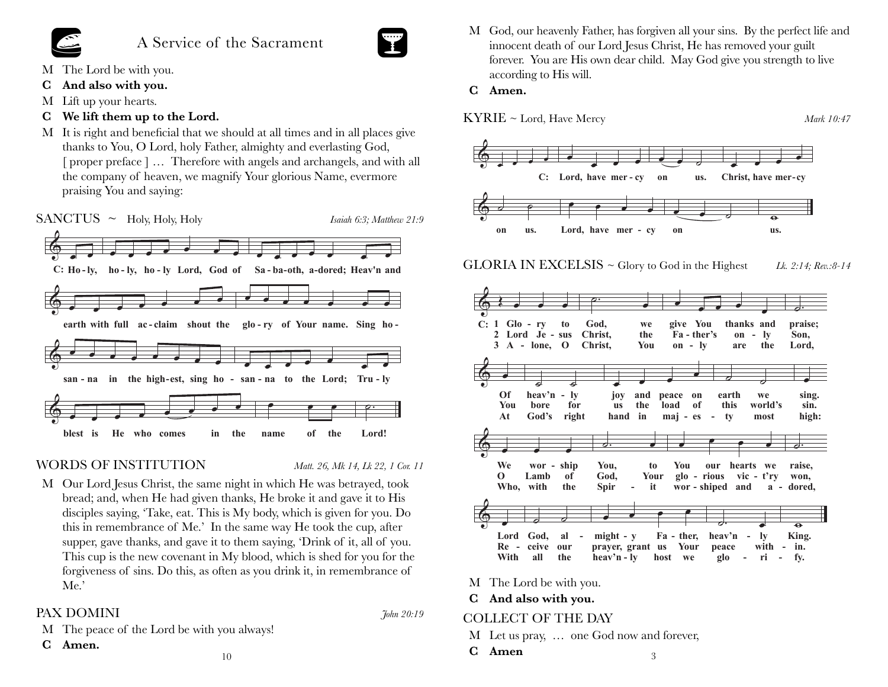![](_page_2_Picture_0.jpeg)

![](_page_2_Picture_2.jpeg)

- M The Lord be with you.
- And also with you.  $\mathbf C$
- M Lift up your hearts.
- C We lift them up to the Lord.
- M It is right and beneficial that we should at all times and in all places give thanks to You, O Lord, holy Father, almighty and everlasting God, [proper preface] ... Therefore with angels and archangels, and with all the company of heaven, we magnify Your glorious Name, evermore praising You and saying:

 $SANCTUS \sim$  Holy, Holy, Holy

Isaiah 6:3: Matthew 21:9

![](_page_2_Figure_10.jpeg)

### **WORDS OF INSTITUTION**

Matt. 26. Mk 14. Lk 22. 1 Cor. 11

Tohn 20:19

M Our Lord Jesus Christ, the same night in which He was betrayed, took bread; and, when He had given thanks, He broke it and gave it to His disciples saying, 'Take, eat. This is My body, which is given for you. Do this in remembrance of Me.' In the same way He took the cup, after supper, gave thanks, and gave it to them saying, 'Drink of it, all of you. This cup is the new covenant in My blood, which is shed for you for the forgiveness of sins. Do this, as often as you drink it, in remembrance of  $Me.$ 

 $10<sup>1</sup>$ 

### PAX DOMINI

- M The peace of the Lord be with you always!
- C Amen.
- M God, our heavenly Father, has forgiven all your sins. By the perfect life and innocent death of our Lord Jesus Christ, He has removed your guilt forever. You are His own dear child. May God give you strength to live according to His will.
- C Amen.

 $KYRIE \sim Lord$ , Have Mercy

Mark 10:47

![](_page_2_Figure_21.jpeg)

 $GLORIA$  IN EXCELSIS  $\sim$  Glory to God in the Highest Lk. 2:14; Rev.:8-14

| ᡔ.                                                                                                                                                                                     |
|----------------------------------------------------------------------------------------------------------------------------------------------------------------------------------------|
|                                                                                                                                                                                        |
| give You<br>God,<br>thanks and praise;<br>thanks and Soltraise;<br>$Glo - ry$<br>we<br>to                                                                                              |
| $C$ <i>frist:</i><br>GJPd - JeV - sd9<br>thee<br>F§l⊻¢he¥Qu                                                                                                                            |
| $\frac{3}{3}$<br>Lord lone, - sus Chriset,<br><b>Ydde</b><br>or <sup>Fa</sup> -ther's areon thely Lorgen,                                                                              |
| You<br>Christ,<br>$A - I$ one, O<br>on $ \mathbf{v}$<br>the<br>are<br>Lord.                                                                                                            |
|                                                                                                                                                                                        |
|                                                                                                                                                                                        |
| Θ<br>$\overline{\phantom{a}}$<br>▱<br>∙                                                                                                                                                |
| $we^{\sigma}$<br>heav'n -<br>Of<br>l≁<br>earth<br>10 <sup>4</sup><br>and peace on<br>sing.                                                                                             |
| Øfu<br>lbeare'n<br>-fdw<br>ujoy thand lopadace of on<br>this rthworld's<br>sinsing.                                                                                                    |
| right<br>haud inhe mload esof- tythis mostrid's highsin.<br><b>Xou</b><br><b>Gool's</b>                                                                                                |
| At<br>God's<br>hand in                                                                                                                                                                 |
| $\text{maj} - \text{es} - \text{ty}$<br>right<br>high:<br>most                                                                                                                         |
|                                                                                                                                                                                        |
|                                                                                                                                                                                        |
|                                                                                                                                                                                        |
| ♂.                                                                                                                                                                                     |
| Wē<br>You,<br>$\overline{\text{wor}}$ - $\sin p$<br>our hearts<br>to<br>You<br>we<br>raise.                                                                                            |
| $L$ <sub>W</sub> $\theta$ - $\sin$<br>Yous<br>Gydu,<br>glyon riogar viearts rive wopaise,<br>We                                                                                        |
| Vour world shippedis and ic at rydoredon,<br>Uho, mithb<br>ther<br>Sgi <sub>5d</sub><br>$\sigma_{\rm{max}}$                                                                            |
| it<br>Who, with<br><b>Spir</b><br>wor - shiped and a - dored,<br>the                                                                                                                   |
|                                                                                                                                                                                        |
| $\sigma$                                                                                                                                                                               |
|                                                                                                                                                                                        |
| аf<br>Fa<br>ther,<br>King <sub>o</sub><br>Gød.<br>heav-n<br>might                                                                                                                      |
| $with$ <sub>y</sub><br>ceive,<br>our<br><b>R</b> <sub>6r</sub> d                                                                                                                       |
| prayer, grant us Your peace, n<br>heaven, y hot ther, peace<br>prayer, grant us Wour Speace<br><sup>in</sup> King.<br>ri <sub>with</sub><br>the<br>our<br>$\frac{dy}{dx}$ in.<br>ceïve |

- M The Lord be with you.
- C And also with you.

### **COLLECT OF THE DAY**

- M Let us pray, ... one God now and forever,
- C Amen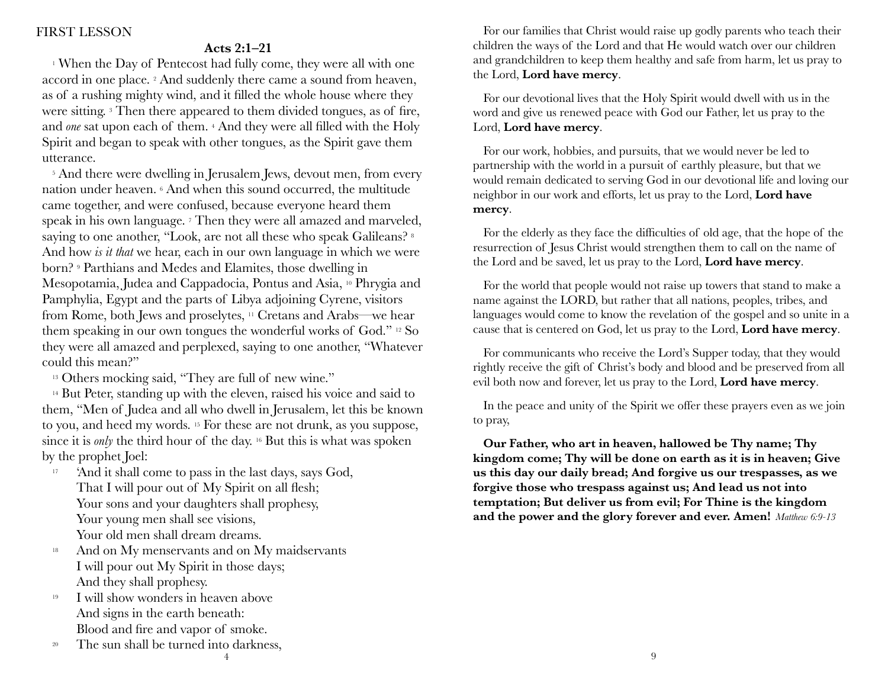### FIRST LESSON

### **Acts 2:1–21**

<sup>1</sup> When the Day of Pentecost had fully come, they were all with one accord in one place. 2 And suddenly there came a sound from heaven, as of a rushing mighty wind, and it filled the whole house where they were sitting. <sup>3</sup> Then there appeared to them divided tongues, as of fire, and *one* sat upon each of them. 4 And they were all filled with the Holy Spirit and began to speak with other tongues, as the Spirit gave them utterance.

<sup>5</sup> And there were dwelling in Jerusalem Jews, devout men, from every nation under heaven. 6 And when this sound occurred, the multitude came together, and were confused, because everyone heard them speak in his own language. <sup>7</sup> Then they were all amazed and marveled, saying to one another, "Look, are not all these who speak Galileans? 8 And how *is it that* we hear, each in our own language in which we were born? 9 Parthians and Medes and Elamites, those dwelling in Mesopotamia, Judea and Cappadocia, Pontus and Asia, 10 Phrygia and Pamphylia, Egypt and the parts of Libya adjoining Cyrene, visitors from Rome, both Jews and proselytes, 11 Cretans and Arabs—we hear them speaking in our own tongues the wonderful works of God." 12 So they were all amazed and perplexed, saying to one another, "Whatever could this mean?"

13 Others mocking said, "They are full of new wine."

<sup>14</sup> But Peter, standing up with the eleven, raised his voice and said to them, "Men of Judea and all who dwell in Jerusalem, let this be known to you, and heed my words. 15 For these are not drunk, as you suppose, since it is *only* the third hour of the day. <sup>16</sup> But this is what was spoken by the prophet Joel:

- <sup>17</sup> 'And it shall come to pass in the last days, says God, That I will pour out of My Spirit on all flesh; Your sons and your daughters shall prophesy, Your young men shall see visions, Your old men shall dream dreams.
- <sup>18</sup> And on My menservants and on My maidservants I will pour out My Spirit in those days; And they shall prophesy.
- $19$  I will show wonders in heaven above And signs in the earth beneath: Blood and fire and vapor of smoke.
- <sup>20</sup> The sun shall be turned into darkness,

4

For our families that Christ would raise up godly parents who teach their children the ways of the Lord and that He would watch over our children and grandchildren to keep them healthy and safe from harm, let us pray to the Lord, **Lord have mercy**.

For our devotional lives that the Holy Spirit would dwell with us in the word and give us renewed peace with God our Father, let us pray to the Lord, **Lord have mercy**.

For our work, hobbies, and pursuits, that we would never be led to partnership with the world in a pursuit of earthly pleasure, but that we would remain dedicated to serving God in our devotional life and loving our neighbor in our work and efforts, let us pray to the Lord, **Lord have mercy**.

For the elderly as they face the difficulties of old age, that the hope of the resurrection of Jesus Christ would strengthen them to call on the name of the Lord and be saved, let us pray to the Lord, **Lord have mercy**.

For the world that people would not raise up towers that stand to make a name against the LORD, but rather that all nations, peoples, tribes, and languages would come to know the revelation of the gospel and so unite in a cause that is centered on God, let us pray to the Lord, **Lord have mercy**.

For communicants who receive the Lord's Supper today, that they would rightly receive the gift of Christ's body and blood and be preserved from all evil both now and forever, let us pray to the Lord, **Lord have mercy**.

In the peace and unity of the Spirit we offer these prayers even as we join to pray,

**Our Father, who art in heaven, hallowed be Thy name; Thy kingdom come; Thy will be done on earth as it is in heaven; Give us this day our daily bread; And forgive us our trespasses, as we forgive those who trespass against us; And lead us not into temptation; But deliver us from evil; For Thine is the kingdom and the power and the glory forever and ever. Amen!** *Matthew 6:9-13*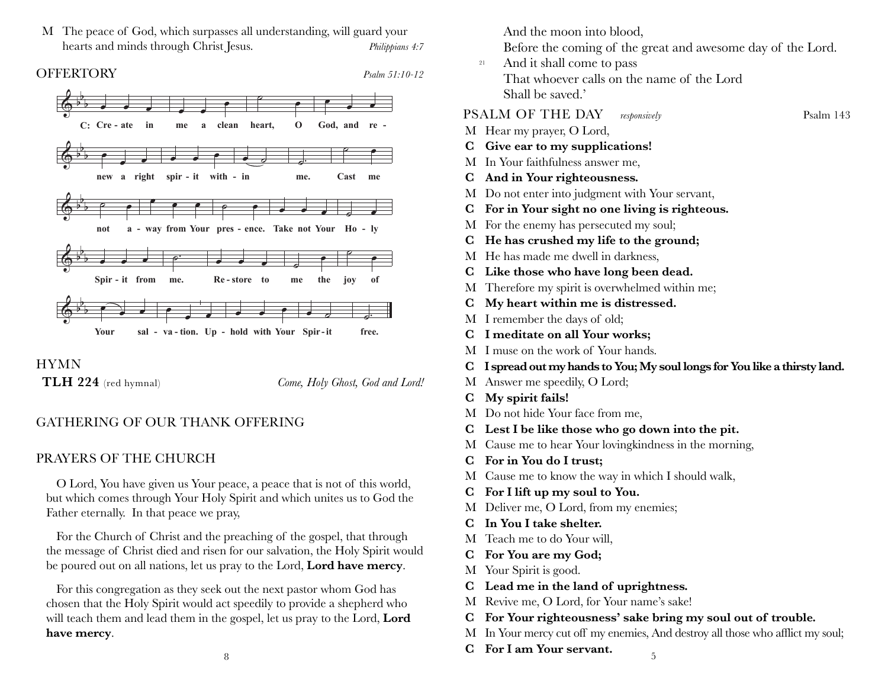M The peace of God, which surpasses all understanding, will guard your hearts and minds through Christ Jesus. Philippians 4:7

### **OFFERTORY**

Psalm 51:10-12

![](_page_4_Figure_3.jpeg)

**HYMN** TLH 224 (red hymnal)

Come, Holy Ghost, God and Lord!

### **GATHERING OF OUR THANK OFFERING**

#### PRAYERS OF THE CHURCH

O Lord, You have given us Your peace, a peace that is not of this world, but which comes through Your Holy Spirit and which unites us to God the Father eternally. In that peace we pray,

For the Church of Christ and the preaching of the gospel, that through the message of Christ died and risen for our salvation, the Holy Spirit would be poured out on all nations, let us pray to the Lord, Lord have mercy.

For this congregation as they seek out the next pastor whom God has chosen that the Holy Spirit would act speedily to provide a shepherd who will teach them and lead them in the gospel, let us pray to the Lord, Lord have mercy.

And the moon into blood,

Before the coming of the great and awesome day of the Lord.

And it shall come to pass 21 That whoever calls on the name of the Lord Shall be saved '

#### PSALM OF THE DAY responsively

- M Hear my prayer, O Lord,
- Give ear to my supplications!  $\mathbf C$
- M In Your faithfulness answer me.
- And in Your righteousness.  $\bf C$
- M Do not enter into judgment with Your servant,
- For in Your sight no one living is righteous.  $\mathbf C$
- M For the enemy has persecuted my soul;
- He has crushed my life to the ground;  $\mathbf C$
- M He has made me dwell in darkness,
- Like those who have long been dead.  $\mathbf C$
- M Therefore my spirit is overwhelmed within me;
- My heart within me is distressed.  $\mathbf C$
- M I remember the days of old;
- C I meditate on all Your works;
- M I muse on the work of Your hands
- C I spread out my hands to You; My soul longs for You like a thirsty land.
- M Answer me speedily, O Lord;
- My spirit fails!  $\bf C$
- M Do not hide Your face from me,
- Lest I be like those who go down into the pit.  $\bf C$
- M Cause me to hear Your loving kindness in the morning,
- For in You do I trust:  $\mathbf C$
- M Cause me to know the way in which I should walk,
- C For I lift up my soul to You.
- M Deliver me, O Lord, from my enemies;
- In You I take shelter.  $\mathbf C$
- Teach me to do Your will, M
- $\mathbf C$ For You are my God;
- M Your Spirit is good.
- Lead me in the land of uprightness.  $\mathbf C$
- Revive me, O Lord, for Your name's sake! М
- For Your righteousness' sake bring my soul out of trouble.  $\mathbf C$
- M In Your mercy cut off my enemies, And destroy all those who afflict my soul;
- For I am Your servant.  $\mathbf C$

Psalm 143